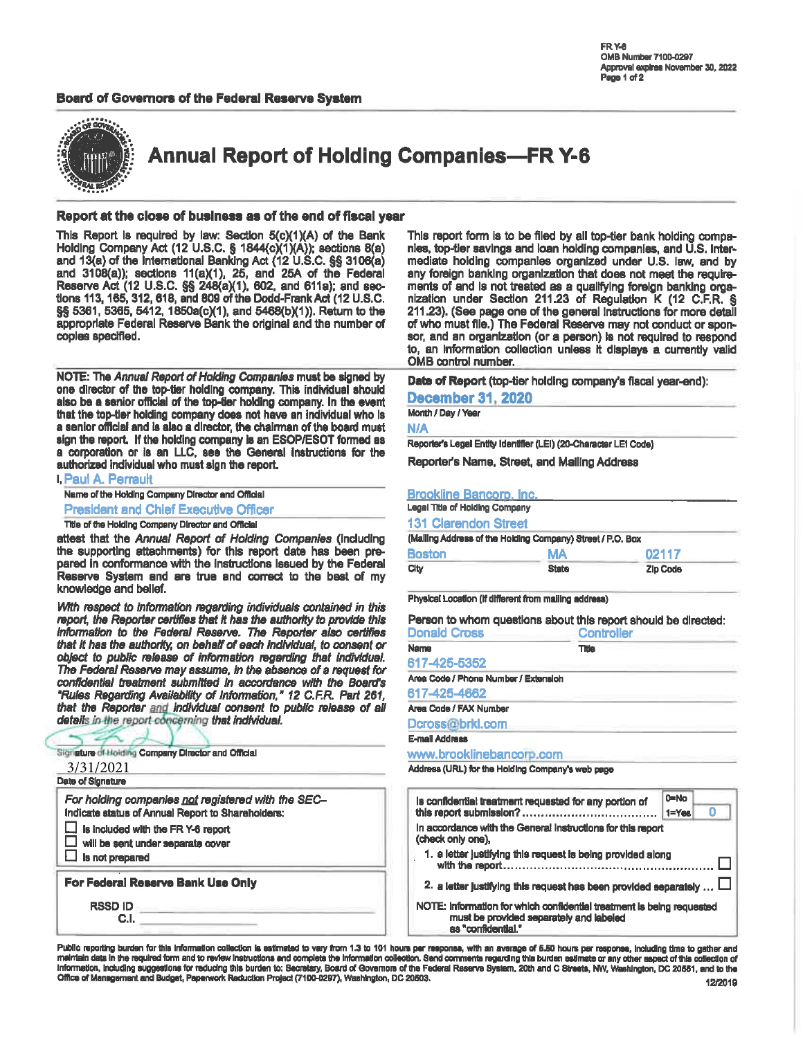## Board of Governors of the Federal Reserve System



**Annual Report of Holding Companies-FR Y-6** 

### Report at the close of business as of the end of fiscal year

This Report is required by law: Section 5(c)(1)(A) of the Bank<br>Holding Company Act (12 U.S.C. § 1844(c)(1)(A)); sections 8(a) and 13(a) of the International Banking Act (12 U.S.C. §§ 3106(a) and 3108(a)), sections 11(a)(1), 25, and 25A of the Federal Reserve Act (12 U.S.C. §§ 248(a)(1), 602, and 611a); and sections 113, 165, 312, 618, and 809 of the Dodd-Frank Act (12 U.S.C. §§ 5361, 5365, 5412, 1850a(c)(1), and 5468(b)(1)). Return to the appropriate Federal Reserve Bank the original and the number of coples specified.

NOTE: The Annual Report of Holding Companies must be signed by one director of the top-tier holding company. This individual should also be a senior official of the top-tier holding company. In the event that the top-tier holding company does not have an individual who is a senior official and is also a director, the chairman of the board must sign the report. If the holding company is an ESOP/ESOT formed as a corporation or is an LLC, see the General instructions for the authorized individual who must sign the report.

| <b>I, Paul A. Perrault</b>                                                                                                      |
|---------------------------------------------------------------------------------------------------------------------------------|
| Name of the Holding Company Director and Official                                                                               |
| <b>President and Chief Executive Officer</b>                                                                                    |
| Title of the Holding Company Director and Official                                                                              |
| attest that the Annual Report of Holding Companies (including<br>the supporting attachments) for this report date has been pre- |
| pared in conformance with the instructions issued by the Federal                                                                |

Reserve System and are true and correct to the best of my knowledge and bellef. With respect to information regarding individuals contained in this report, the Reporter certifies that it has the authority to provide this

information to the Federal Reserve. The Reporter also certifies that it has the authority, on behalf of each individual, to consent or object to public release of information regarding that individual. The Federal Reserve may assume, in the absence of a request for confidential treatment submitted in accordance with the Board's "Rules Regarding Availability of Information," 12 C.F.R. Part 261, that the Reporter and individual consent to public release of all details in the report concerning that individual.

| Slignature of Holding Company Director and Official<br>3/31/2021<br>Date of Signature                                                                                                                 | www.brooklinebancor<br>Address (URL) for the Holding                                                                                                       |
|-------------------------------------------------------------------------------------------------------------------------------------------------------------------------------------------------------|------------------------------------------------------------------------------------------------------------------------------------------------------------|
| For holding companies not registered with the SEC-<br>Indicate status of Annual Report to Shareholders:<br>is included with the FR Y-6 report<br>will be sent under separate cover<br>Is not prepared | Is confidential treatment r<br>this report submission?<br>In accordance with the Ge<br>(check only one),<br>1. a letter justifying this<br>with the report |
| For Federal Reserve Bank Use Only<br><b>RSSDID</b><br>C.I.                                                                                                                                            | 2. a letter justifying this<br>NOTE: Information for whi<br>must be provided :<br>as "confidential."                                                       |

This report form is to be filed by all top-tier bank holding companies, top-tier savings and loan holding companies, and U.S. intermediate holding companies organized under U.S. law, and by any foreign banking organization that does not meet the requirements of and is not treated as a qualifying foreign banking organization under Section 211.23 of Regulation K (12 C.F.R. § 211.23). (See page one of the general instructions for more detail of who must file.) The Federal Reserve may not conduct or sponsor, and an organization (or a person) is not required to respond to, an information collection unless it displays a currently valid OMB control number.

Date of Report (top-tier holding company's fiscal year-end):

### **December 31, 2020**

Month / Day / Year

N/A

Reporter's Legal Entity Identifier (LEI) (20-Character LEI Code)

Reporter's Name, Street, and Mailing Address

### **Brookline Bancorp, Inc.**

| Legal Title of Holding Company                             |              |          |  |  |  |  |  |
|------------------------------------------------------------|--------------|----------|--|--|--|--|--|
| <b>131 Clarendon Street</b>                                |              |          |  |  |  |  |  |
| (Mailing Address of the Holding Company) Street / P.O. Box |              |          |  |  |  |  |  |
| <b>Boston</b>                                              | MA           | 02117    |  |  |  |  |  |
| City                                                       | <b>State</b> | Zip Code |  |  |  |  |  |

Physical Location (if different from mailing address)

Person to whom questions about this report should be directed:

| <b>Donald Cross</b>                  | <b>Controller</b> |
|--------------------------------------|-------------------|
| <b>Name</b>                          | Title             |
| 617-425-5352                         |                   |
| Area Code / Phone Number / Extension |                   |
| 617-425-4662                         |                   |
| Area Code / FAX Number               |                   |
| Dcross@brkl.com                      |                   |
| <b>E-mail Address</b>                |                   |
| www.brooklinebancorp.com             |                   |
|                                      |                   |

Company's web page

| is confidential treatment requested for any portion of                                                                                 | $0 = No$<br>$1 = Y$ es |
|----------------------------------------------------------------------------------------------------------------------------------------|------------------------|
| In accordance with the General Instructions for this report<br>(check only one),                                                       |                        |
| 1. a letter justifying this request is being provided along                                                                            |                        |
| 2. a letter justifying this request has been provided separately  L                                                                    |                        |
| NOTE: Information for which confidential treatment is being requested<br>must be provided separately and labeled<br>as "confidential." |                        |

Public reporting burden for this information collection is estimated to vary from 1.3 to 101 hours per response, with an average of 5.50 hours per response, including time to gather and meintain date in the required form and to review instructions and complets the information collection. Send comments regarding this burden estimate or any other aspect of this collection of Information, including suggestions for reducing this burden to: Secretary, Board of Governors of the Federal Reserve System, 20th and C Streets, NW, Washington, DC 20551, and to the Office of Management and Budget, Paperwork Reduction Project (7100-0297), Washington, DC 20503.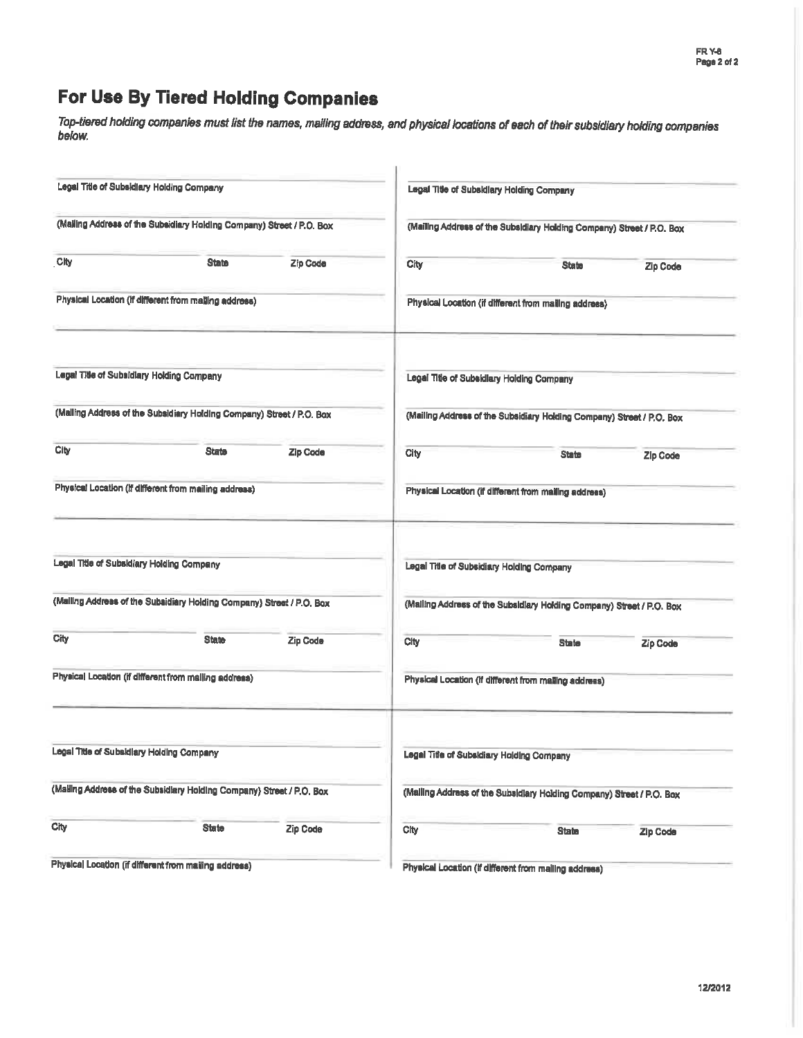# For Use By Tiered Holding Companies

Top-tiered holding companies must list the names, mailing address, and physical locations of each of their subsidiary holding companies below.

|      | Legal Title of Subsidiary Holding Company                             |                 |      | Legal Title of Subsidiary Holding Company                             |                 |
|------|-----------------------------------------------------------------------|-----------------|------|-----------------------------------------------------------------------|-----------------|
|      | (Malling Address of the Subsidiary Holding Company) Street / P.O. Box |                 |      | (Mailing Address of the Subsidiary Holding Company) Street / P.O. Box |                 |
| Clty | <b>State</b>                                                          | Zip Code        | City | <b>State</b>                                                          | Zip Code        |
|      | Physical Location (if different from mailing address)                 |                 |      | Physical Location (if different from mailing address)                 |                 |
|      | Legal Title of Subsidiary Holding Company                             |                 |      | Legal Title of Subsidiary Holding Company                             |                 |
|      | (Mailing Address of the Subsidiary Holding Company) Street / P.O. Box |                 |      | (Mailing Address of the Subsidiary Holding Company) Street / P.O. Box |                 |
| City | <b>State</b>                                                          | <b>Zip Code</b> | City | <b>State</b>                                                          | <b>Zip Code</b> |
|      | Physical Location (if different from mailing address)                 |                 |      | Physical Location (if different from mailing address)                 |                 |
|      | Legal Title of Subsidiary Holding Company                             |                 |      | Legal Title of Subsidiary Holding Company                             |                 |
|      | (Malling Address of the Subsidiary Holding Company) Street / P.O. Box |                 |      | (Malling Address of the Subsidiary Holding Company) Street / P.O. Box |                 |
| City | <b>State</b>                                                          | <b>Zip Code</b> | City | <b>State</b>                                                          | Zip Code        |
|      | Physical Location (if different from malling address)                 |                 |      | Physical Location (if different from mailing address)                 |                 |
|      | Legal Title of Subsidiary Holding Company                             |                 |      | Legal Title of Subsidiary Holding Company                             |                 |
|      | (Malling Address of the Subsidiary Holding Company) Street / P.O. Box |                 |      | (Malling Address of the Subsidiary Holding Company) Street / P.O. Box |                 |
| City | <b>State</b>                                                          | Zip Code        | City | <b>State</b>                                                          | <b>Zip Code</b> |
|      | Physical Location (if different from mailing address)                 |                 |      | Physical Location (if different from mailing address)                 |                 |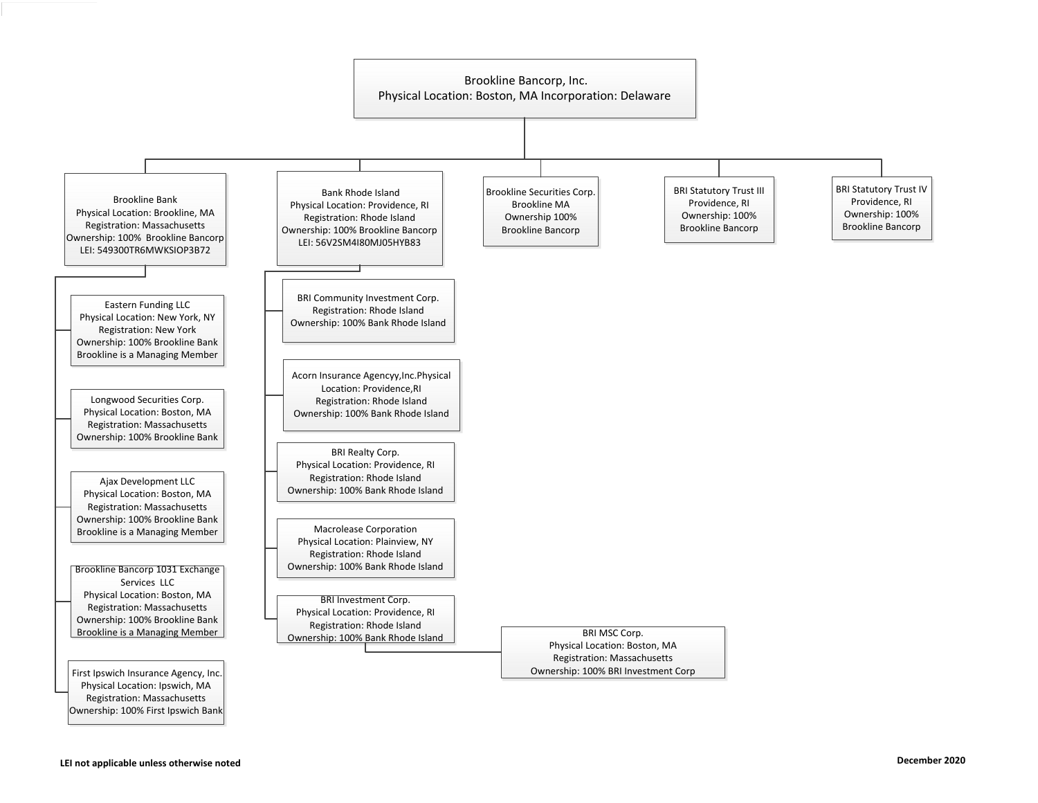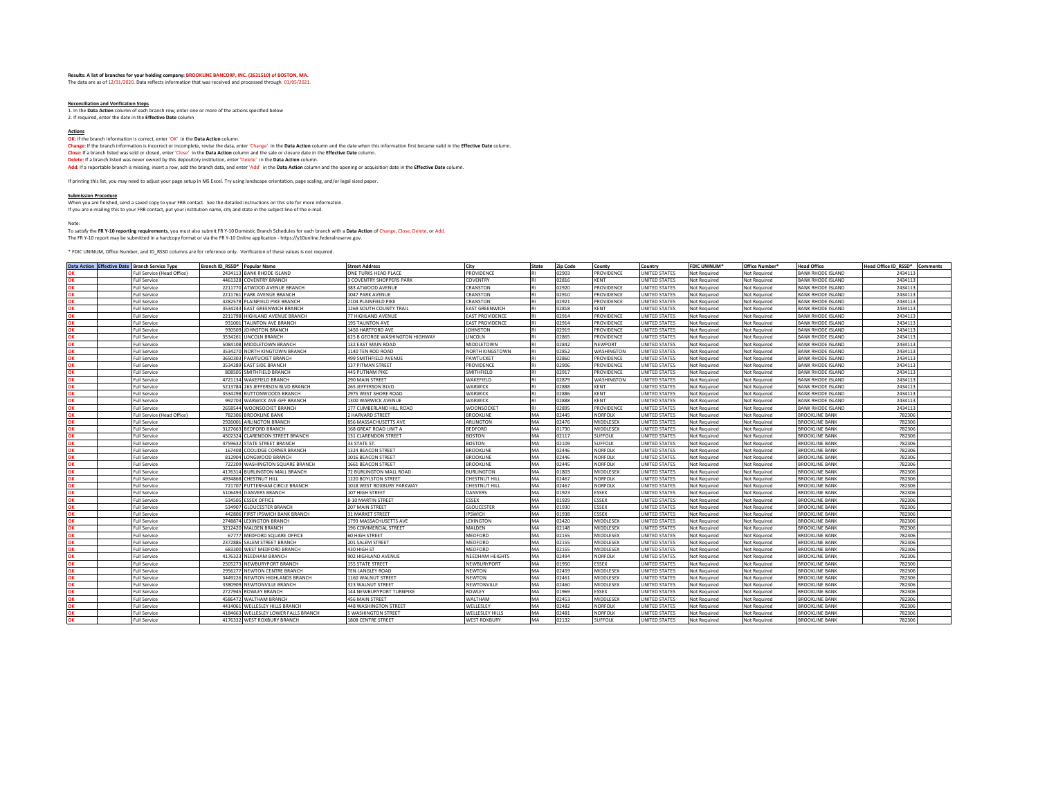### **Results: A list of branches for your holding company: BROOKLINE BANCORP, INC. (2631510) of BOSTON, MA.** The data are as of 12/31/2020. Data reflects information that was received and processed through 01/05/2021.

**Reconciliation and Verification Steps** 1. In the **Data Action** column of each branch row, enter one or more of the actions specified below 2. If required, enter the date in the **Effective Date** column

**Actions OK:** If the branch information is correct, enter 'OK' in the **Data Action** column.

Change: If the branch information is incorrect or incomplete, rewise the data, enter 'Change' in the Data Action column and the date when this information first became valid in the Effective Date column.<br>Close: If a branch Delete: If a branch listed was never owned by this depository institution, enter 'Delete' in the Data Act**ion** column.<br>Add: If a reportable branch is missing, insert a row, add the branch data, and enter 'Add' in the Data

If printing this list, you may need to adjust your page setup in MS Excel. Try using landscape orientation, page scaling, and/or legal sized paper.

<mark>Submission Procedure</mark><br>When you are finished, send a saved copy to your FRB contact. See the detailed instructions on this site for more information.<br>If you are e-mailing this to your FRB contact, put your institution name

Note:

### To satisfy the F**R Y-10 reporting requirements**, you must also submit FR Y-10 Domestic Branch Schedules for each branch with a **Data Action** of Change, Close, Delete, or Add.<br>The FR Y-10 report may be submitted in a hardco

\* FDIC UNINUM, Office Number, and ID\_RSSD columns are for reference only. Verification of these values is not required.

|    | Data Action Effective Date Branch Service Type | Branch ID RSSD* Popular Name         | <b>Street Address</b>           | City                   | State     | <b>Zip Code</b> | County            | Country              | <b>FDIC UNINUM*</b> | Office Number <sup>®</sup> | <b>Head Office</b>       | Head Office ID RSSD* Comments |  |
|----|------------------------------------------------|--------------------------------------|---------------------------------|------------------------|-----------|-----------------|-------------------|----------------------|---------------------|----------------------------|--------------------------|-------------------------------|--|
|    | <b>Full Service (Head Office)</b>              | 2434113 BANK RHODE ISLAND            | ONE TURKS HEAD PLACE            | PROVIDENCE             | RI        | 02903           | PROVIDENCE        | UNITED STATES        | Not Required        | Not Required               | <b>BANK RHODE ISLAND</b> | 243411                        |  |
|    | <b>Full Service</b>                            | 4461328 COVENTRY BRANCH              | 3 COVENTRY SHOPPERS PARK        | COVENTRY               | RI        | 02816           | KENT              | <b>UNITED STATES</b> | Not Required        | Not Required               | <b>BANK RHODE ISLAND</b> | 243411                        |  |
|    | <b>Full Service</b>                            | 2211770 ATWOOD AVENUE BRANCH         | 383 ATWOOD AVENUE               | CRANSTON               | RI        | 02920           | PROVIDENCE        | <b>UNITED STATES</b> | <b>Not Required</b> | Not Required               | <b>BANK RHODE ISLAND</b> | 2434113                       |  |
| OK | <b>Full Service</b>                            | 2211761 PARK AVENUE BRANCH           | 1047 PARK AVENUE                | CRANSTON               | RI        | 02910           | PROVIDENCE        | <b>UNITED STATES</b> | Not Required        | Not Required               | <b>BANK RHODE ISLAND</b> | 2434113                       |  |
| OK | <b>Full Service</b>                            | 4282578 PLAINFIELD PIKE BRANCH       | 2104 PLAINFIELD PIKE            | CRANSTON               | <b>RI</b> | 02921           | PROVIDENCE        | <b>UNITED STATES</b> | Not Required        | Not Required               | <b>BANK RHODE ISLAND</b> | 243411                        |  |
| ΩK | <b>Full Service</b>                            | 3534243 EAST GREENWICH BRANCH        | 1269 SOUTH COUNTY TRAIL         | <b>EAST GREENWICH</b>  | RI        | 02818           | KENT              | UNITED STATES        | Not Required        | Not Required               | <b>BANK RHODE ISLAND</b> | 2434113                       |  |
| OK | <b>Full Service</b>                            | 2211798<br>HIGHLAND AVENUE BRANCH    | 77 HIGHLAND AVENUE              | <b>EAST PROVIDENCE</b> | <b>RI</b> | 02914           | PROVIDENCE        | UNITED STATES        | <b>Not Required</b> | Not Required               | <b>BANK RHODE ISLAND</b> | 2434113                       |  |
| ΩK | <b>Full Service</b>                            | <b>TAUNTON AVE BRANCH</b><br>931001  | 195 TAUNTON AVE                 | <b>EAST PROVIDENCE</b> | RI        | 02914           | PROVIDENCE        | UNITED STATES        | Not Required        | Not Required               | <b>BANK RHODE ISLAND</b> | 2434113                       |  |
| OK | <b>Full Service</b>                            | 930509 JOHNSTON BRANCH               | 1450 HARTFORD AVE               | <b>JOHNSTON</b>        | <b>RI</b> | 02919           | PROVIDENCE        | UNITED STATES        | Not Required        | Not Required               | <b>BANK RHODE ISLAND</b> | 2434113                       |  |
| ОΚ | <b>Full Service</b>                            | 3534261<br>LINCOLN BRANCH            | 625 B GEORGE WASHINGTON HIGHWAY | <b>LINCOLN</b>         | RI        | 02865           | PROVIDENCE        | <b>UNITED STATES</b> | Not Required        | Not Required               | <b>BANK RHODE ISLAND</b> | 2434113                       |  |
| OK | <b>Full Service</b>                            | 5084108 MIDDLETOWN BRANCH            | 132 EAST MAIN ROAD              | MIDDLETOWN             | RI        | 02842           | NEWPORT           | UNITED STATES        | <b>Not Required</b> | Not Required               | <b>BANK RHODE ISLAND</b> | 2434113                       |  |
| оĸ | <b>Full Service</b>                            | 3534270 NORTH KINGTOWN BRANCH        | 1140 TEN ROD ROAD               | NORTH KINGSTOWN        | RI        | 02852           | WASHINGTON        | UNITED STATES        | Not Required        | Not Required               | <b>BANK RHODE ISLAND</b> | 2434113                       |  |
| ΩK | <b>Full Service</b>                            | 3650303 PAWTUCKET BRANCH             | 499 SMITHFIELD AVENUE           | PAWTUCKET              | <b>RI</b> | 02860           | PROVIDENCE        | UNITED STATES        | <b>Not Required</b> | Not Required               | <b>BANK RHODE ISLAND</b> | 2434113                       |  |
|    | <b>Full Service</b>                            | 3534289 EAST SIDE BRANCH             | 137 PITMAN STREET               | PROVIDENCE             | RI        | 02906           | PROVIDENCE        | UNITED STATES        | Not Required        | Not Required               | <b>BANK RHODE ISLAND</b> | 2434113                       |  |
| ΩK | <b>Full Service</b>                            | 808505 SMITHFIFLD BRANCH             | <b>445 PUTNAM PIKE</b>          | SMITHFIELD             | RI        | 02917           | PROVIDENCE        | UNITED STATES        | Not Required        | Not Required               | <b>BANK RHODE ISLAND</b> | 2434113                       |  |
| ΩK | <b>Full Service</b>                            | 4721134<br><b>WAKEFIELD BRANCH</b>   | 290 MAIN STREET                 | WAKEFIELD              | RI        | 02879           | <b>WASHINGTON</b> | UNITED STATES        | Not Required        | Not Required               | <b>BANK RHODE ISLAND</b> | 2434113                       |  |
| OK | <b>Full Service</b>                            | 5213784 265 JEFFERSON BLVD BRANCH    | 265 JEFFERSON BLVD              | WARWICK                | RI        | 02888           | KENT              | UNITED STATES        | <b>Not Required</b> | Not Required               | <b>BANK RHODE ISLAND</b> | 2434113                       |  |
| OK | <b>Full Service</b>                            | 3534298 BUTTONWOODS BRANCH           | 2975 WEST SHORE ROAD            | WARWICK                | RI        | 02886           | KENT              | UNITED STATES        | Not Required        | Not Required               | <b>BANK RHODE ISLAND</b> | 2434113                       |  |
| OK | <b>Full Service</b>                            | 992703 WARWICK AVE-GFF BRANCH        | 1300 WARWICK AVENUE             | WARWICK                | RI        | 02888           | <b>KENT</b>       | UNITED STATES        | Not Required        | Not Required               | <b>BANK RHODE ISLAND</b> | 2434113                       |  |
| OK | <b>Full Service</b>                            | 2658544 WOONSOCKET BRANCH            | 177 CUMBERLAND HILL ROAD        | <b>WOONSOCKE</b>       | RI        | 02895           | PROVIDENCE        | <b>UNITED STATES</b> | Not Required        | Not Required               | <b>BANK RHODE ISLAND</b> | 243411                        |  |
| ОΚ | Full Service (Head Office)                     | 782306<br><b>BROOKLINE BANK</b>      | 2 HARVARD STREET                | <b>BROOKLINE</b>       | MA        | 02445           | <b>NORFOLK</b>    | UNITED STATES        | Not Required        | Not Required               | <b>BROOKLINE BANK</b>    | 782306                        |  |
| OK | <b>Full Service</b>                            | 2926001<br><b>ARLINGTON BRANCH</b>   | 856 MASSACHUSETTS AVE           | ARLINGTON              | MA        | 02476           | MIDDLESEX         | UNITED STATES        | Not Required        | Not Required               | <b>BROOKLINE BANK</b>    | 782306                        |  |
| ΩK | <b>Full Service</b>                            | BEDFORD BRANCH<br>3127663            | 168 GREAT ROAD UNIT A           | <b>BEDFORD</b>         | MA        | 01730           | MIDDLESEX         | <b>UNITED STATES</b> | Not Required        | Not Required               | <b>BROOKLINE BANK</b>    | 782306                        |  |
| OK | <b>Full Service</b>                            | 4502324<br>CLARENDON STREET BRANCH   | 131 CLARENDON STREET            | <b>BOSTON</b>          | MA        | 02117           | <b>SUFFOLK</b>    | UNITED STATES        | Not Required        | Not Required               | <b>BROOKLINE BANK</b>    | 782306                        |  |
| ΩK | <b>Full Service</b>                            | 4759632 STATE STREET BRANCH          | 33 STATE ST.                    | <b>BOSTON</b>          | MA        | 02109           | <b>SUFFOLK</b>    | UNITED STATES        | Not Required        | Not Required               | <b>BROOKLINE BANK</b>    | 782306                        |  |
| OK | <b>Full Service</b>                            | 167408 COOLIDGE CORNER BRANCH        | 1324 BEACON STREET              | <b>BROOKLINE</b>       | MA        | 02446           | <b>NORFOLK</b>    | <b>UNITED STATES</b> | Not Required        | Not Required               | <b>BROOKLINE BANK</b>    | 782306                        |  |
| OK | <b>Full Service</b>                            | 812904 LONGWOOD BRANCH               | 1016 BEACON STREET              | <b>BROOKLINE</b>       | MA        | 02446           | <b>NORFOLK</b>    | UNITED STATES        | Not Required        | Not Required               | <b>BROOKLINE BANK</b>    | 782306                        |  |
| OK | <b>Full Service</b>                            | 722209 WASHINGTON SQUARE BRANCH      | 1661 BEACON STREET              | <b>BROOKLINE</b>       | MA        | 02445           | <b>NORFOLK</b>    | <b>JNITED STATES</b> | Not Required        | Not Required               | <b>BROOKLINE BANK</b>    | 782306                        |  |
|    | <b>Full Service</b>                            | 4176314 BURLINGTON MALL BRANCH       | 72 BURLINGTON MALL ROAD         | <b>BURLINGTON</b>      | MA        | 01803           | MIDDLESEX         | UNITED STATES        | Not Required        | Not Required               | <b>BROOKLINE BANK</b>    | 782306                        |  |
| ΩK | <b>Full Service</b>                            | 4934868 CHESTNUT HILL                | 1220 BOYLSTON STREET            | CHESTNUT HILL          | MA        | 02467           | NORFOLK           | UNITED STATES        | Not Required        | Not Required               | <b>BROOKLINE BANK</b>    | 782306                        |  |
| ΩK | <b>Full Service</b>                            | 721707<br>PUTTERHAM CIRCLE BRANCH    | 1018 WEST ROXBURY PARKWAY       | CHESTNUT HILL          | MA        | 02467           | NORFOLK           | <b>UNITED STATES</b> | Not Required        | Not Required               | <b>BROOKLINE BANK</b>    | 782306                        |  |
|    | <b>Full Service</b>                            | 5106493<br><b>DANVERS BRANCH</b>     | 107 HIGH STREET                 | <b>DANVERS</b>         | MA        | 01923           | ESSEX             | UNITED STATES        | Not Required        | Not Required               | <b>BROOKLINE BANK</b>    | 782306                        |  |
| ΩK | <b>Full Service</b>                            | 534505 ESSEX OFFICE                  | 8-10 MARTIN STREET              | ESSEX                  | MA        | 01929           | ESSEX             | UNITED STATES        | Not Required        | Not Required               | <b>BROOKLINE BANK</b>    | 782306                        |  |
| OK | <b>Full Service</b>                            | 534907 GLOUCESTER BRANCH             | 207 MAIN STREET                 | <b>GLOUCESTER</b>      | MA        | 01930           | <b>ESSEX</b>      | UNITED STATES        | Not Required        | Not Required               | <b>BROOKLINE BANK</b>    | 782306                        |  |
| ОK | <b>Full Service</b>                            | 442806 FIRST IPSWICH BANK BRANCH     | <b>31 MARKET STREET</b>         | <b>IPSWICH</b>         | MA        | 01938           | ESSEX             | UNITED STATES        | <b>Not Required</b> | Not Required               | <b>BROOKLINE BANK</b>    | 782306                        |  |
| OK | <b>Full Service</b>                            | 2748874<br><b>LEXINGTON BRANCH</b>   | 1793 MASSACHUSETTS AVE          | LEXINGTON              | MA        | 02420           | <b>MIDDLESEX</b>  | <b>UNITED STATES</b> | Not Required        | Not Required               | <b>BROOKLINE BANK</b>    | 782306                        |  |
| OK | <b>Full Service</b>                            | 3212420 MALDEN BRANCH                | 196 COMMERCIAL STREET           | MALDEN                 | MA        | 02148           | MIDDLESEX         | UNITED STATES        | Not Required        | Not Required               | <b>BROOKLINE BANK</b>    | 782306                        |  |
| ΩK | <b>Full Service</b>                            | 67777 MEDFORD SQUARE OFFICE          | 60 HIGH STREET                  | MEDFORD                | MA        | 02155           | <b>MIDDLESEX</b>  | <b>UNITED STATES</b> | Not Required        | Not Required               | <b>BROOKLINE BANK</b>    | 782306                        |  |
| OK | <b>Full Service</b>                            | 2372886 SALEM STREET BRANCH          | 201 SALEM STREET                | MEDFORD                | MA        | 02155           | MIDDLESEX         | <b>UNITED STATES</b> | Not Required        | Not Required               | <b>BROOKLINE BANK</b>    | 782306                        |  |
| ΩK | <b>Full Service</b>                            | 683300 WEST MEDFORD BRANCH           | 430 HIGH ST                     | MEDFORD                | MA        | 02155           | MIDDLESEX         | UNITED STATES        | Not Required        | Not Required               | <b>BROOKLINE BANK</b>    | 782306                        |  |
| OK | <b>Full Service</b>                            | 4176323 NEEDHAM BRANCH               | 902 HIGHLAND AVENUE             | NEEDHAM HEIGHTS        | MA        | 02494           | <b>NORFOLK</b>    | <b>UNITED STATES</b> | <b>Not Required</b> | Not Required               | <b>BROOKLINE BANK</b>    | 782306                        |  |
| OK | <b>Full Service</b>                            | 2505273 NEWBURYPORT BRANCH           | <b>155 STATE STREET</b>         | NEWBURYPORT            | MA        | 01950           | ESSEX             | <b>UNITED STATES</b> | Not Required        | Not Required               | <b>BROOKLINE BANK</b>    | 782306                        |  |
| OK | <b>Full Service</b>                            | 2956277 NEWTON CENTRE BRANCH         | TEN LANGLEY ROAD                | NEWTON                 | MA        | 02459           | <b>MIDDLESEX</b>  | UNITED STATES        | Not Required        | Not Required               | <b>BROOKLINE BANK</b>    | 782306                        |  |
| ОK | <b>Full Service</b>                            | 3449226 NEWTON HIGHLANDS BRANCH      | 1160 WALNUT STREET              | NEWTON                 | MA        | 02461           | <b>MIDDLESEX</b>  | UNITED STATES        | Not Required        | Not Required               | <b>BROOKLINE BANK</b>    | 782306                        |  |
| ΩК | <b>Full Service</b>                            | 3380909 NEWTONVILLE BRANCH           | 323 WALNUT STREET               | NEWTONVILLE            | MA        | 02460           | MIDDLESEX         | UNITED STATES        | Not Required        | Not Required               | <b>BROOKLINE BANK</b>    | 782306                        |  |
| ΩK | <b>Full Service</b>                            | 2727945 ROWLEY BRANCH                | 144 NEWBURYPORT TURNPIKE        | ROWLEY                 | MA        | 01969           | ESSEX             | UNITED STATES        | Not Required        | Not Required               | <b>BROOKLINE BANK</b>    | 782306                        |  |
|    | <b>Full Service</b>                            | 4586472 WALTHAM BRANCH               | 456 MAIN STREET                 | WALTHAM                | MA        | 02453           | MIDDLESEX         | UNITED STATES        | Not Required        | Not Required               | <b>BROOKLINE BANK</b>    | 782306                        |  |
| ΩK | <b>Full Service</b>                            | 4414061<br>WELLESLEY HILLS BRANCH    | 448 WASHINGTON STREET           | WELLESLEY              | MA        | 02482           | <b>NORFOLK</b>    | <b>UNITED STATES</b> | Not Required        | Not Required               | <b>BROOKLINE BANK</b>    | 782306                        |  |
| OK | <b>Full Service</b>                            | 4184663 WELLESLEY LOWER FALLS BRANCH | 5 WASHINGTON STREET             | WELLESLEY HILLS        | MA        | 02481           | <b>NORFOLK</b>    | UNITED STATES        | Not Required        | Not Required               | <b>BROOKLINE BANK</b>    | 782306                        |  |
| OK | <b>Full Service</b>                            | 4176332 WEST ROXBURY BRANCH          | 1808 CENTRE STREET              | <b>WEST ROXBURY</b>    | MA        | 02132           | <b>SUFFOLK</b>    | <b>UNITED STATES</b> | Not Required        | Not Required               | <b>BROOKLINE BANK</b>    | 782306                        |  |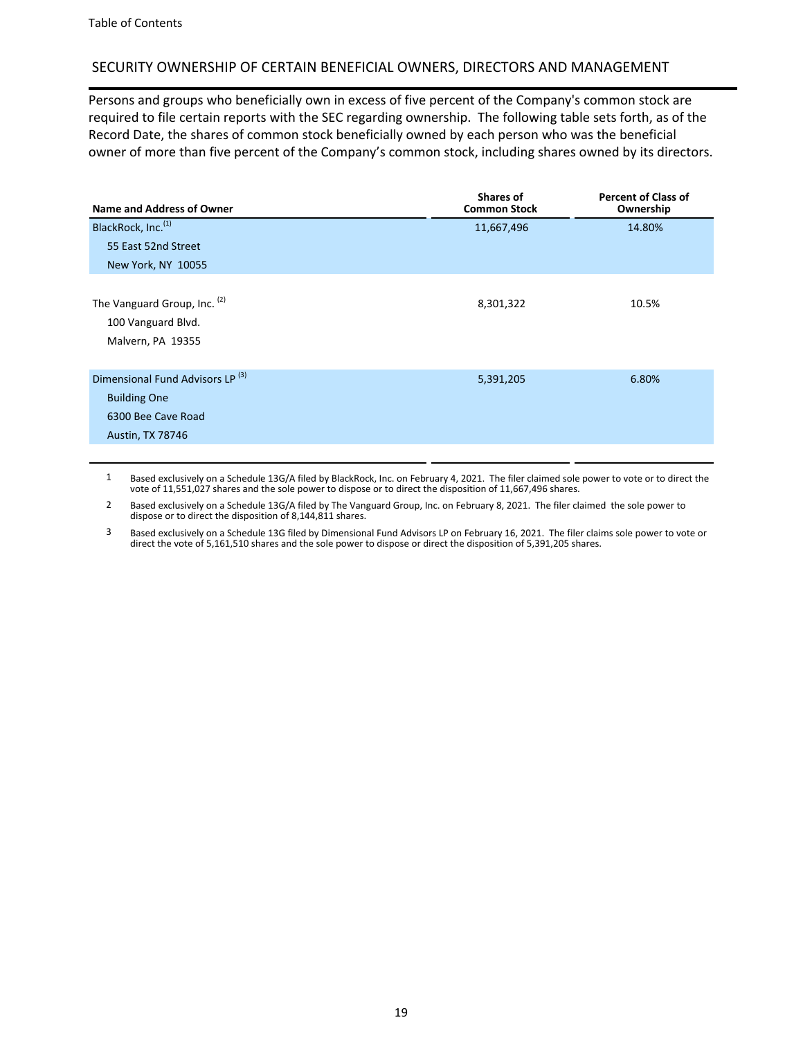# SECURITY OWNERSHIP OF CERTAIN BENEFICIAL OWNERS, DIRECTORS AND MANAGEMENT

Persons and groups who beneficially own in excess of five percent of the Company's common stock are required to file certain reports with the SEC regarding ownership. The following table sets forth, as of the Record Date, the shares of common stock beneficially owned by each person who was the beneficial owner of more than five percent of the Company's common stock, including shares owned by its directors.

| Name and Address of Owner                                                                                           | Shares of<br><b>Common Stock</b> | <b>Percent of Class of</b><br>Ownership |
|---------------------------------------------------------------------------------------------------------------------|----------------------------------|-----------------------------------------|
| BlackRock, Inc. <sup>(1)</sup><br>55 East 52nd Street                                                               | 11,667,496                       | 14.80%                                  |
| New York, NY 10055                                                                                                  |                                  |                                         |
| The Vanguard Group, Inc. (2)<br>100 Vanguard Blvd.<br>Malvern, PA 19355                                             | 8,301,322                        | 10.5%                                   |
| Dimensional Fund Advisors LP <sup>(3)</sup><br><b>Building One</b><br>6300 Bee Cave Road<br><b>Austin, TX 78746</b> | 5,391,205                        | 6.80%                                   |

1 Based exclusively on a Schedule 13G/A filed by BlackRock, Inc. on February 4, 2021. The filer claimed sole power to vote or to direct the vote of 11,551,027 shares and the sole power to dispose or to direct the disposition of 11,667,496 shares.

2 Based exclusively on a Schedule 13G/A filed by The Vanguard Group, Inc. on February 8, 2021. The filer claimed the sole power to dispose or to direct the disposition of 8,144,811 shares.

3 Based exclusively on a Schedule 13G filed by Dimensional Fund Advisors LP on February 16, 2021. The filer claims sole power to vote or direct the vote of 5,161,510 shares and the sole power to dispose or direct the disposition of 5,391,205 shares.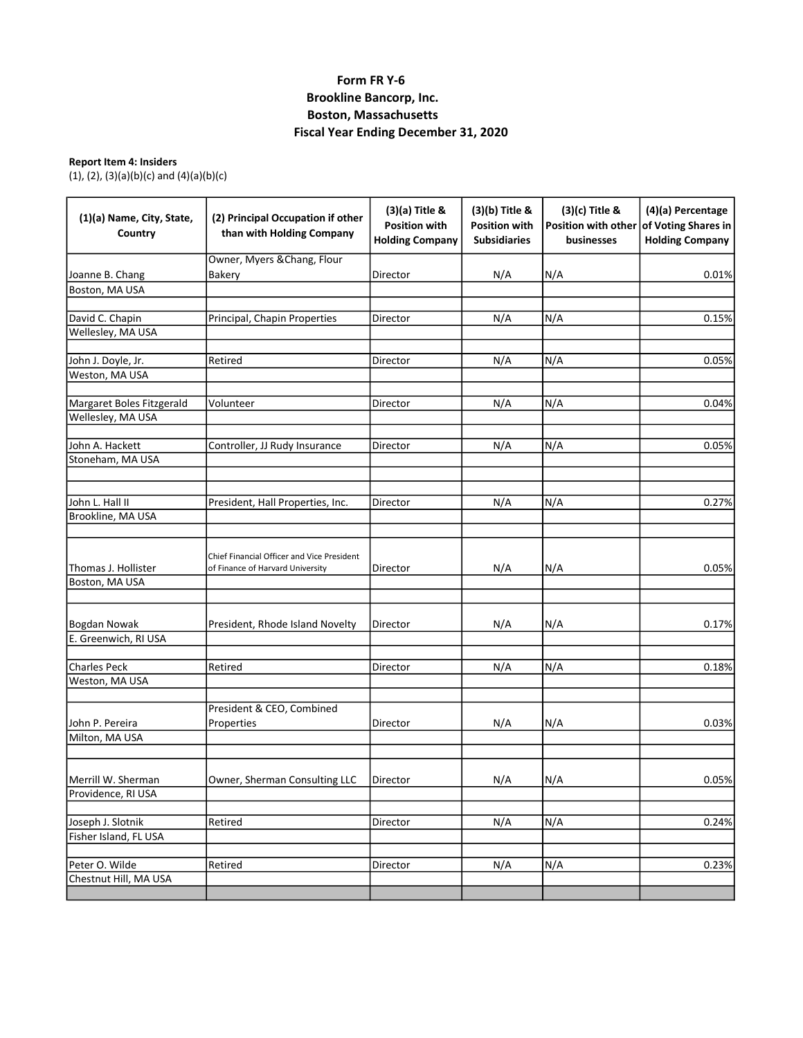# Form FR Y-6 Brookline Bancorp, Inc. Boston, Massachusetts Fiscal Year Ending December 31, 2020

# Report Item 4: Insiders

(1), (2), (3)(a)(b)(c) and (4)(a)(b)(c)

| (1)(a) Name, City, State,<br>Country  | (2) Principal Occupation if other<br>than with Holding Company                 | (3)(a) Title &<br><b>Position with</b><br><b>Holding Company</b> | (3)(b) Title &<br><b>Position with</b><br><b>Subsidiaries</b> | (3)(c) Title &<br>Position with other<br><b>businesses</b> | (4)(a) Percentage<br>of Voting Shares in<br><b>Holding Company</b> |  |
|---------------------------------------|--------------------------------------------------------------------------------|------------------------------------------------------------------|---------------------------------------------------------------|------------------------------------------------------------|--------------------------------------------------------------------|--|
|                                       | Owner, Myers & Chang, Flour                                                    |                                                                  |                                                               |                                                            |                                                                    |  |
| Joanne B. Chang                       | Bakery                                                                         | Director                                                         | N/A                                                           | N/A                                                        | 0.01%                                                              |  |
| Boston, MA USA                        |                                                                                |                                                                  |                                                               |                                                            |                                                                    |  |
| David C. Chapin                       | Principal, Chapin Properties                                                   | Director                                                         | N/A                                                           | N/A                                                        | 0.15%                                                              |  |
| Wellesley, MA USA                     |                                                                                |                                                                  |                                                               |                                                            |                                                                    |  |
| John J. Doyle, Jr.                    | Retired                                                                        | Director                                                         | N/A                                                           | N/A                                                        | 0.05%                                                              |  |
| Weston, MA USA                        |                                                                                |                                                                  |                                                               |                                                            |                                                                    |  |
| Margaret Boles Fitzgerald             | Volunteer                                                                      | Director                                                         | N/A                                                           | N/A                                                        | 0.04%                                                              |  |
| Wellesley, MA USA                     |                                                                                |                                                                  |                                                               |                                                            |                                                                    |  |
| John A. Hackett                       | Controller, JJ Rudy Insurance                                                  | Director                                                         | N/A                                                           | N/A                                                        | 0.05%                                                              |  |
| Stoneham, MA USA                      |                                                                                |                                                                  |                                                               |                                                            |                                                                    |  |
| John L. Hall II                       | President, Hall Properties, Inc.                                               | Director                                                         | N/A                                                           | N/A                                                        | 0.27%                                                              |  |
| Brookline, MA USA                     |                                                                                |                                                                  |                                                               |                                                            |                                                                    |  |
| Thomas J. Hollister<br>Boston, MA USA | Chief Financial Officer and Vice President<br>of Finance of Harvard University | Director                                                         | N/A                                                           | N/A                                                        | 0.05%                                                              |  |
|                                       |                                                                                |                                                                  |                                                               |                                                            |                                                                    |  |
| Bogdan Nowak                          | President, Rhode Island Novelty                                                | Director                                                         | N/A                                                           | N/A                                                        | 0.17%                                                              |  |
| E. Greenwich, RI USA                  |                                                                                |                                                                  |                                                               |                                                            |                                                                    |  |
| <b>Charles Peck</b>                   | Retired                                                                        | Director                                                         | N/A                                                           | N/A                                                        | 0.18%                                                              |  |
| Weston, MA USA                        |                                                                                |                                                                  |                                                               |                                                            |                                                                    |  |
| John P. Pereira                       | President & CEO, Combined<br>Properties                                        | Director                                                         | N/A                                                           | N/A                                                        | 0.03%                                                              |  |
| Milton, MA USA                        |                                                                                |                                                                  |                                                               |                                                            |                                                                    |  |
| Merrill W. Sherman                    | Owner, Sherman Consulting LLC                                                  | Director                                                         | N/A                                                           | N/A                                                        | 0.05%                                                              |  |
| Providence, RI USA                    |                                                                                |                                                                  |                                                               |                                                            |                                                                    |  |
| Joseph J. Slotnik                     | Retired                                                                        | Director                                                         | N/A                                                           | N/A                                                        | 0.24%                                                              |  |
| Fisher Island, FL USA                 |                                                                                |                                                                  |                                                               |                                                            |                                                                    |  |
| Peter O. Wilde                        | Retired                                                                        | Director                                                         | N/A                                                           | N/A                                                        | 0.23%                                                              |  |
| Chestnut Hill, MA USA                 |                                                                                |                                                                  |                                                               |                                                            |                                                                    |  |